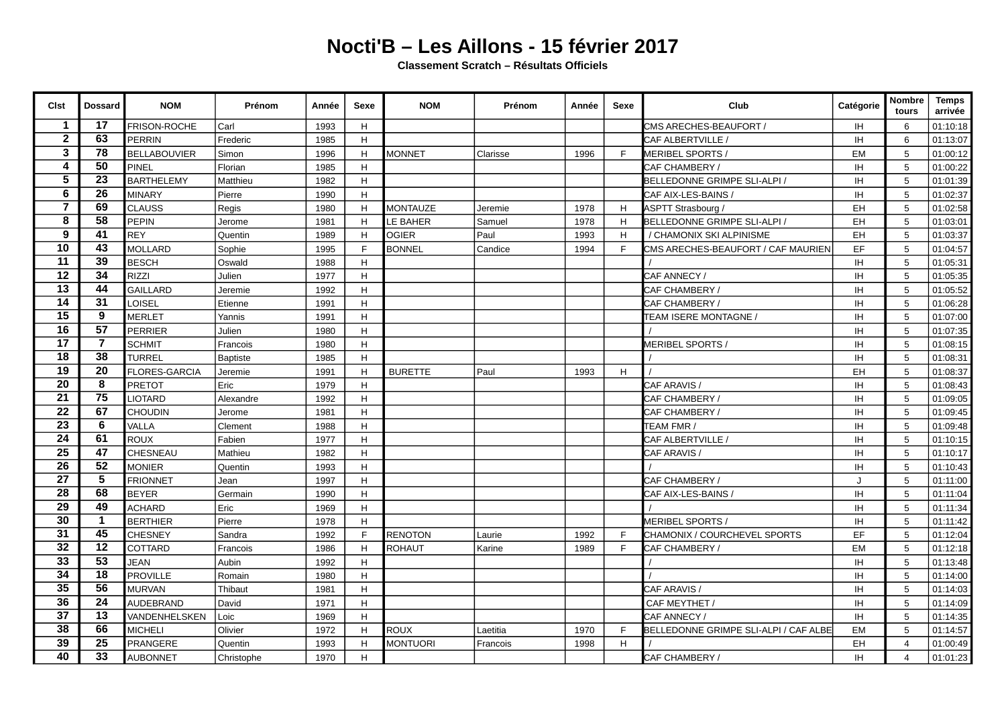## **Nocti'B – Les Aillons - 15 février 2017**

**Classement Scratch – Résultats Officiels**

| Cist                    | <b>Dossard</b>  | <b>NOM</b>           | Prénom          | Année | Sexe | <b>NOM</b>      | Prénom   | Année | Sexe | Club                                  | Catégorie | <b>Nombre</b><br>tours | <b>Temps</b><br>arrivée |
|-------------------------|-----------------|----------------------|-----------------|-------|------|-----------------|----------|-------|------|---------------------------------------|-----------|------------------------|-------------------------|
| 1                       | 17              | FRISON-ROCHE         | Carl            | 1993  | H    |                 |          |       |      | CMS ARECHES-BEAUFORT /                | <b>IH</b> | 6                      | 01:10:18                |
| $\mathbf{2}$            | 63              | <b>PERRIN</b>        | Frederic        | 1985  | H    |                 |          |       |      | CAF ALBERTVILLE /                     | <b>IH</b> | 6                      | 01:13:07                |
| 3                       | 78              | <b>BELLABOUVIER</b>  | Simon           | 1996  | H    | <b>MONNET</b>   | Clarisse | 1996  | F.   | <b>MERIBEL SPORTS /</b>               | <b>EM</b> | 5                      | 01:00:12                |
| 4                       | 50              | PINEL                | Florian         | 1985  | H    |                 |          |       |      | CAF CHAMBERY /                        | <b>IH</b> | 5                      | 01:00:22                |
| $\overline{5}$          | 23              | <b>BARTHELEMY</b>    | Matthieu        | 1982  | H    |                 |          |       |      | BELLEDONNE GRIMPE SLI-ALPI /          | <b>IH</b> | 5                      | 01:01:39                |
| 6                       | 26              | <b>MINARY</b>        | Pierre          | 1990  | H    |                 |          |       |      | CAF AIX-LES-BAINS /                   | ΙH        | 5                      | 01:02:37                |
| $\overline{\mathbf{z}}$ | 69              | <b>CLAUSS</b>        | Regis           | 1980  | H    | <b>MONTAUZE</b> | Jeremie  | 1978  | H    | ASPTT Strasbourg /                    | EH        | 5                      | 01:02:58                |
| 8                       | 58              | PEPIN                | Jerome          | 1981  | H    | LE BAHER        | Samuel   | 1978  | H    | BELLEDONNE GRIMPE SLI-ALPI /          | EH        | 5                      | 01:03:01                |
| $\boldsymbol{9}$        | 41              | <b>REY</b>           | Quentin         | 1989  | H    | OGIER           | Paul     | 1993  | H    | / CHAMONIX SKI ALPINISME              | EH        | 5                      | 01:03:37                |
| 10                      | 43              | <b>MOLLARD</b>       | Sophie          | 1995  | F    | <b>BONNEL</b>   | Candice  | 1994  | F.   | CMS ARECHES-BEAUFORT / CAF MAURIEN    | EF        | 5                      | 01:04:57                |
| $\overline{11}$         | 39              | <b>BESCH</b>         | Oswald          | 1988  | H    |                 |          |       |      |                                       | ΙH        | 5                      | 01:05:31                |
| $\overline{12}$         | 34              | RIZZI                | Julien          | 1977  | H    |                 |          |       |      | CAF ANNECY /                          | IH        | 5                      | 01:05:35                |
| $\overline{13}$         | 44              | <b>GAILLARD</b>      | Jeremie         | 1992  | H    |                 |          |       |      | CAF CHAMBERY /                        | <b>IH</b> | 5                      | 01:05:52                |
| $\overline{14}$         | 31              | LOISEL               | Etienne         | 1991  | H    |                 |          |       |      | CAF CHAMBERY /                        | IH        | 5                      | 01:06:28                |
| 15                      | 9               | <b>MERLET</b>        | Yannis          | 1991  | H    |                 |          |       |      | TEAM ISERE MONTAGNE /                 | <b>IH</b> | 5                      | 01:07:00                |
| 16                      | $\overline{57}$ | <b>PERRIER</b>       | Julien          | 1980  | H    |                 |          |       |      |                                       | ΙH        | 5                      | 01:07:35                |
| 17                      | $\overline{7}$  | <b>SCHMIT</b>        | Francois        | 1980  | H    |                 |          |       |      | <b>MERIBEL SPORTS /</b>               | ΙH        | 5                      | 01:08:15                |
| 18                      | 38              | <b>TURREL</b>        | <b>Baptiste</b> | 1985  | H    |                 |          |       |      |                                       | ΙH        | $5\phantom{.0}$        | 01:08:31                |
| $\overline{19}$         | 20              | <b>FLORES-GARCIA</b> | Jeremie         | 1991  | H    | <b>BURETTE</b>  | Paul     | 1993  | H    |                                       | EH        | 5                      | 01:08:37                |
| $\overline{20}$         | 8               | <b>PRETOT</b>        | Eric            | 1979  | H    |                 |          |       |      | CAF ARAVIS /                          | <b>IH</b> | 5                      | 01:08:43                |
| $\overline{21}$         | 75              | LIOTARD              | Alexandre       | 1992  | H    |                 |          |       |      | CAF CHAMBERY /                        | <b>IH</b> | 5                      | 01:09:05                |
| 22                      | 67              | <b>CHOUDIN</b>       | Jerome          | 1981  | H    |                 |          |       |      | CAF CHAMBERY /                        | <b>IH</b> | 5                      | 01:09:45                |
| $\overline{23}$         | 6               | VALLA                | Clement         | 1988  | H    |                 |          |       |      | TEAM FMR /                            | <b>IH</b> | 5                      | 01:09:48                |
| 24                      | 61              | <b>ROUX</b>          | Fabien          | 1977  | H    |                 |          |       |      | CAF ALBERTVILLE /                     | <b>IH</b> | 5                      | 01:10:15                |
| $\overline{25}$         | 47              | CHESNEAU             | Mathieu         | 1982  | H    |                 |          |       |      | CAF ARAVIS                            | <b>IH</b> | 5                      | 01:10:17                |
| 26                      | 52              | <b>MONIER</b>        | Quentin         | 1993  | H    |                 |          |       |      |                                       | <b>IH</b> | 5                      | 01:10:43                |
| 27                      | 5               | <b>FRIONNET</b>      | Jean            | 1997  | H    |                 |          |       |      | <b>CAF CHAMBERY</b>                   | $\cdot$   | 5                      | 01:11:00                |
| $\overline{28}$         | 68              | <b>BEYER</b>         | Germain         | 1990  | H    |                 |          |       |      | CAF AIX-LES-BAINS /                   | <b>IH</b> | 5                      | 01:11:04                |
| $\overline{29}$         | 49              | <b>ACHARD</b>        | Eric            | 1969  | H    |                 |          |       |      |                                       | <b>IH</b> | 5                      | 01:11:34                |
| 30                      | $\mathbf 1$     | <b>BERTHIER</b>      | Pierre          | 1978  | H    |                 |          |       |      | <b>MERIBEL SPORTS /</b>               | IH        | 5                      | 01:11:42                |
| 31                      | 45              | <b>CHESNEY</b>       | Sandra          | 1992  | E    | <b>RENOTON</b>  | Laurie   | 1992  | F.   | CHAMONIX / COURCHEVEL SPORTS          | EF        | 5                      | 01:12:04                |
| 32                      | 12              | <b>COTTARD</b>       | Francois        | 1986  | H    | <b>ROHAUT</b>   | Karine   | 1989  | F.   | CAF CHAMBERY /                        | <b>EM</b> | 5                      | 01:12:18                |
| 33                      | 53              | <b>JEAN</b>          | Aubin           | 1992  | H    |                 |          |       |      |                                       | <b>IH</b> | 5                      | 01:13:48                |
| $\overline{34}$         | 18              | <b>PROVILLE</b>      | Romain          | 1980  | H    |                 |          |       |      |                                       | ΙH        | 5                      | 01:14:00                |
| 35                      | 56              | <b>MURVAN</b>        | Thibaut         | 1981  | H    |                 |          |       |      | CAF ARAVIS /                          | ΙH        | 5                      | 01:14:03                |
| 36                      | $\overline{24}$ | <b>AUDEBRAND</b>     | David           | 1971  | H    |                 |          |       |      | CAF MEYTHET                           | ΙH        | 5                      | 01:14:09                |
| $\overline{37}$         | 13              | VANDENHELSKEN        | Loic            | 1969  | H    |                 |          |       |      | CAF ANNECY /                          | <b>IH</b> | 5                      | 01:14:35                |
| 38                      | 66              | <b>MICHELI</b>       | Olivier         | 1972  | H    | <b>ROUX</b>     | Laetitia | 1970  | F.   | BELLEDONNE GRIMPE SLI-ALPI / CAF ALBE | EM        | 5                      | 01:14:57                |
| 39                      | 25              | PRANGERE             | Quentin         | 1993  | H    | <b>MONTUORI</b> | Francois | 1998  | H    |                                       | EH        | 4                      | 01:00:49                |
| 40                      | 33              | <b>AUBONNET</b>      | Christophe      | 1970  | H    |                 |          |       |      | CAF CHAMBERY /                        | <b>IH</b> | 4                      | 01:01:23                |